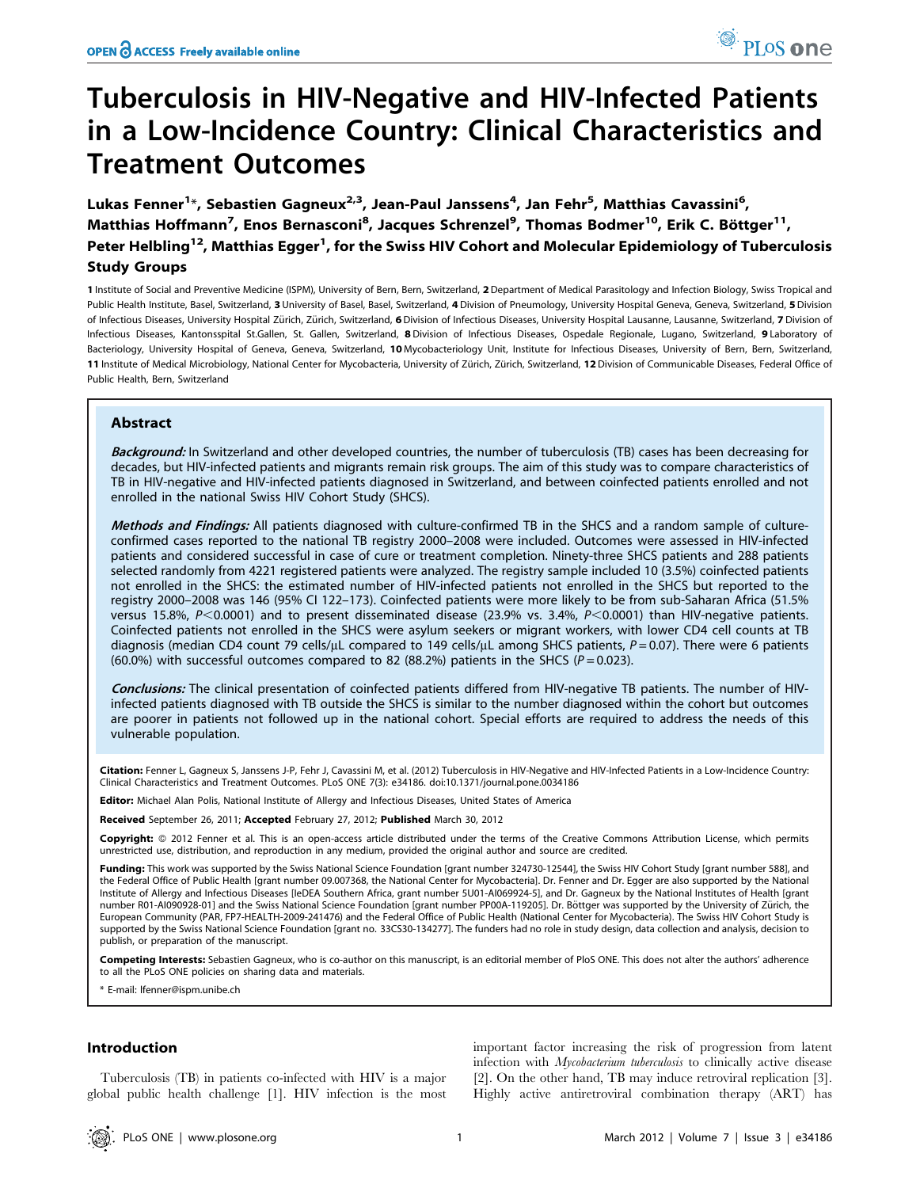# Tuberculosis in HIV-Negative and HIV-Infected Patients in a Low-Incidence Country: Clinical Characteristics and Treatment Outcomes

Lukas Fenner<sup>1</sup>\*, Sebastien Gagneux<sup>2,3</sup>, Jean-Paul Janssens<sup>4</sup>, Jan Fehr<sup>5</sup>, Matthias Cavassini<sup>6</sup>, Matthias Hoffmann<sup>7</sup>, Enos Bernasconi<sup>8</sup>, Jacques Schrenzel<sup>9</sup>, Thomas Bodmer<sup>10</sup>, Erik C. Böttger<sup>11</sup>, Peter Helbling<sup>12</sup>, Matthias Egger<sup>1</sup>, for the Swiss HIV Cohort and Molecular Epidemiology of Tuberculosis Study Groups

1 Institute of Social and Preventive Medicine (ISPM), University of Bern, Bern, Switzerland, 2 Department of Medical Parasitology and Infection Biology, Swiss Tropical and Public Health Institute, Basel, Switzerland, 3 University of Basel, Basel, Switzerland, 4 Division of Pneumology, University Hospital Geneva, Geneva, Switzerland, 5 Division of Infectious Diseases, University Hospital Zürich, Zürich, Switzerland, 6 Division of Infectious Diseases, University Hospital Lausanne, Lausanne, Switzerland, 7 Division of Infectious Diseases, Kantonsspital St.Gallen, St. Gallen, Switzerland, 8 Division of Infectious Diseases, Ospedale Regionale, Lugano, Switzerland, 9 Laboratory of Bacteriology, University Hospital of Geneva, Geneva, Switzerland, 10 Mycobacteriology Unit, Institute for Infectious Diseases, University of Bern, Bern, Switzerland, 11 Institute of Medical Microbiology, National Center for Mycobacteria, University of Zürich, Zürich, Switzerland, 12 Division of Communicable Diseases, Federal Office of Public Health, Bern, Switzerland

# Abstract

Background: In Switzerland and other developed countries, the number of tuberculosis (TB) cases has been decreasing for decades, but HIV-infected patients and migrants remain risk groups. The aim of this study was to compare characteristics of TB in HIV-negative and HIV-infected patients diagnosed in Switzerland, and between coinfected patients enrolled and not enrolled in the national Swiss HIV Cohort Study (SHCS).

Methods and Findings: All patients diagnosed with culture-confirmed TB in the SHCS and a random sample of cultureconfirmed cases reported to the national TB registry 2000–2008 were included. Outcomes were assessed in HIV-infected patients and considered successful in case of cure or treatment completion. Ninety-three SHCS patients and 288 patients selected randomly from 4221 registered patients were analyzed. The registry sample included 10 (3.5%) coinfected patients not enrolled in the SHCS: the estimated number of HIV-infected patients not enrolled in the SHCS but reported to the registry 2000–2008 was 146 (95% CI 122–173). Coinfected patients were more likely to be from sub-Saharan Africa (51.5% versus 15.8%, P<0.0001) and to present disseminated disease (23.9% vs. 3.4%, P<0.0001) than HIV-negative patients. Coinfected patients not enrolled in the SHCS were asylum seekers or migrant workers, with lower CD4 cell counts at TB diagnosis (median CD4 count 79 cells/uL compared to 149 cells/uL among SHCS patients,  $P = 0.07$ ). There were 6 patients (60.0%) with successful outcomes compared to 82 (88.2%) patients in the SHCS ( $P = 0.023$ ).

Conclusions: The clinical presentation of coinfected patients differed from HIV-negative TB patients. The number of HIVinfected patients diagnosed with TB outside the SHCS is similar to the number diagnosed within the cohort but outcomes are poorer in patients not followed up in the national cohort. Special efforts are required to address the needs of this vulnerable population.

Citation: Fenner L, Gagneux S, Janssens J-P, Fehr J, Cavassini M, et al. (2012) Tuberculosis in HIV-Negative and HIV-Infected Patients in a Low-Incidence Country: Clinical Characteristics and Treatment Outcomes. PLoS ONE 7(3): e34186. doi:10.1371/journal.pone.0034186

Editor: Michael Alan Polis, National Institute of Allergy and Infectious Diseases, United States of America

Received September 26, 2011; Accepted February 27, 2012; Published March 30, 2012

Copyright: © 2012 Fenner et al. This is an open-access article distributed under the terms of the Creative Commons Attribution License, which permits unrestricted use, distribution, and reproduction in any medium, provided the original author and source are credited.

Funding: This work was supported by the Swiss National Science Foundation [grant number 324730-12544], the Swiss HIV Cohort Study [grant number 588], and the Federal Office of Public Health [grant number 09.007368, the National Center for Mycobacteria]. Dr. Fenner and Dr. Egger are also supported by the National Institute of Allergy and Infectious Diseases [IeDEA Southern Africa, grant number 5U01-AI069924-5], and Dr. Gagneux by the National Institutes of Health [grant number R01-AI090928-01] and the Swiss National Science Foundation [grant number PP00A-119205]. Dr. Böttger was supported by the University of Zürich, the European Community (PAR, FP7-HEALTH-2009-241476) and the Federal Office of Public Health (National Center for Mycobacteria). The Swiss HIV Cohort Study is supported by the Swiss National Science Foundation [grant no. 33CS30-134277]. The funders had no role in study design, data collection and analysis, decision to publish, or preparation of the manuscript.

Competing Interests: Sebastien Gagneux, who is co-author on this manuscript, is an editorial member of PloS ONE. This does not alter the authors' adherence to all the PLoS ONE policies on sharing data and materials.

\* E-mail: lfenner@ispm.unibe.ch

# Introduction

Tuberculosis (TB) in patients co-infected with HIV is a major global public health challenge [1]. HIV infection is the most

important factor increasing the risk of progression from latent infection with Mycobacterium tuberculosis to clinically active disease [2]. On the other hand, TB may induce retroviral replication [3]. Highly active antiretroviral combination therapy (ART) has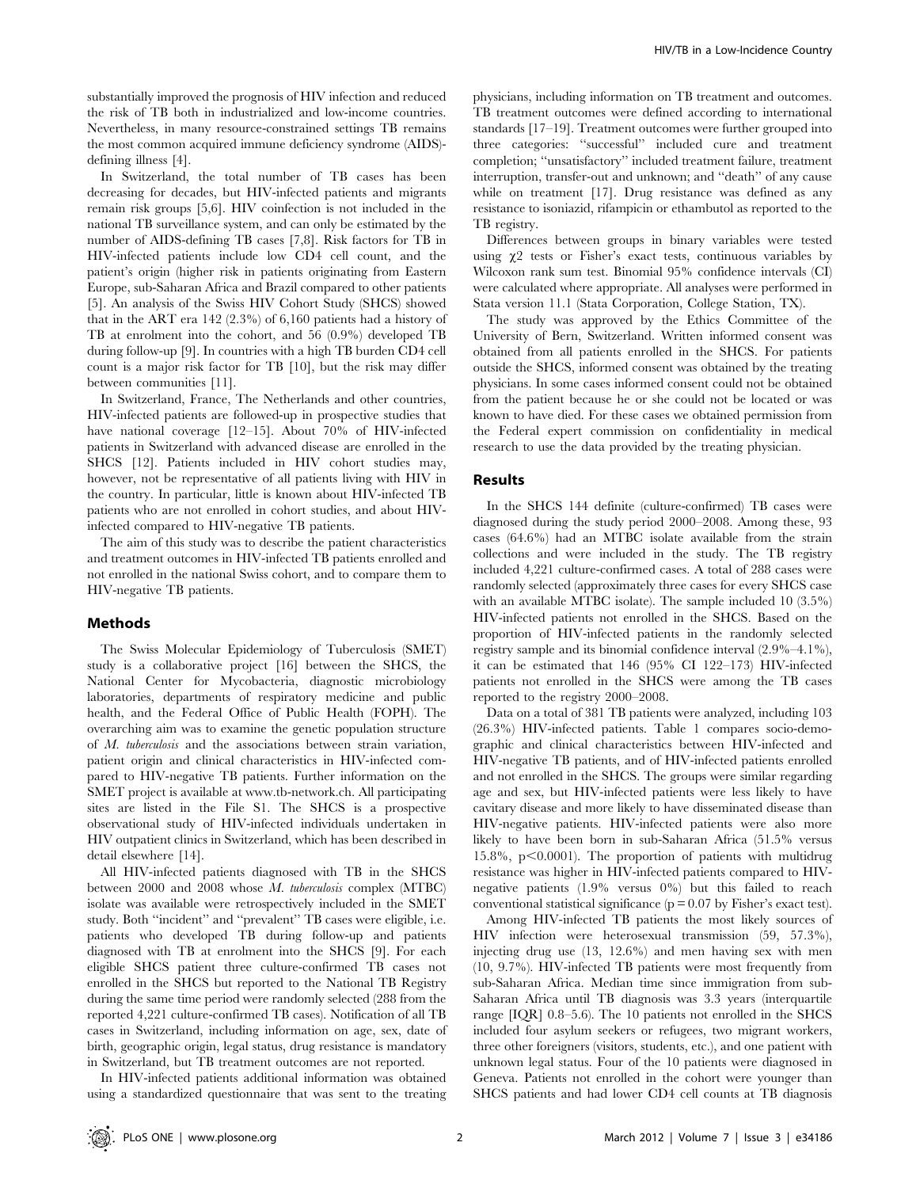substantially improved the prognosis of HIV infection and reduced the risk of TB both in industrialized and low-income countries. Nevertheless, in many resource-constrained settings TB remains the most common acquired immune deficiency syndrome (AIDS) defining illness [4].

In Switzerland, the total number of TB cases has been decreasing for decades, but HIV-infected patients and migrants remain risk groups [5,6]. HIV coinfection is not included in the national TB surveillance system, and can only be estimated by the number of AIDS-defining TB cases [7,8]. Risk factors for TB in HIV-infected patients include low CD4 cell count, and the patient's origin (higher risk in patients originating from Eastern Europe, sub-Saharan Africa and Brazil compared to other patients [5]. An analysis of the Swiss HIV Cohort Study (SHCS) showed that in the ART era 142 (2.3%) of 6,160 patients had a history of TB at enrolment into the cohort, and 56 (0.9%) developed TB during follow-up [9]. In countries with a high TB burden CD4 cell count is a major risk factor for TB [10], but the risk may differ between communities [11].

In Switzerland, France, The Netherlands and other countries, HIV-infected patients are followed-up in prospective studies that have national coverage [12–15]. About 70% of HIV-infected patients in Switzerland with advanced disease are enrolled in the SHCS [12]. Patients included in HIV cohort studies may, however, not be representative of all patients living with HIV in the country. In particular, little is known about HIV-infected TB patients who are not enrolled in cohort studies, and about HIVinfected compared to HIV-negative TB patients.

The aim of this study was to describe the patient characteristics and treatment outcomes in HIV-infected TB patients enrolled and not enrolled in the national Swiss cohort, and to compare them to HIV-negative TB patients.

#### Methods

The Swiss Molecular Epidemiology of Tuberculosis (SMET) study is a collaborative project [16] between the SHCS, the National Center for Mycobacteria, diagnostic microbiology laboratories, departments of respiratory medicine and public health, and the Federal Office of Public Health (FOPH). The overarching aim was to examine the genetic population structure of M. tuberculosis and the associations between strain variation, patient origin and clinical characteristics in HIV-infected compared to HIV-negative TB patients. Further information on the SMET project is available at www.tb-network.ch. All participating sites are listed in the File S1. The SHCS is a prospective observational study of HIV-infected individuals undertaken in HIV outpatient clinics in Switzerland, which has been described in detail elsewhere [14].

All HIV-infected patients diagnosed with TB in the SHCS between 2000 and 2008 whose M. tuberculosis complex (MTBC) isolate was available were retrospectively included in the SMET study. Both ''incident'' and ''prevalent'' TB cases were eligible, i.e. patients who developed TB during follow-up and patients diagnosed with TB at enrolment into the SHCS [9]. For each eligible SHCS patient three culture-confirmed TB cases not enrolled in the SHCS but reported to the National TB Registry during the same time period were randomly selected (288 from the reported 4,221 culture-confirmed TB cases). Notification of all TB cases in Switzerland, including information on age, sex, date of birth, geographic origin, legal status, drug resistance is mandatory in Switzerland, but TB treatment outcomes are not reported.

In HIV-infected patients additional information was obtained using a standardized questionnaire that was sent to the treating

physicians, including information on TB treatment and outcomes. TB treatment outcomes were defined according to international standards [17–19]. Treatment outcomes were further grouped into three categories: ''successful'' included cure and treatment completion; ''unsatisfactory'' included treatment failure, treatment interruption, transfer-out and unknown; and ''death'' of any cause while on treatment [17]. Drug resistance was defined as any resistance to isoniazid, rifampicin or ethambutol as reported to the TB registry.

Differences between groups in binary variables were tested using  $\gamma$ 2 tests or Fisher's exact tests, continuous variables by Wilcoxon rank sum test. Binomial 95% confidence intervals (CI) were calculated where appropriate. All analyses were performed in Stata version 11.1 (Stata Corporation, College Station, TX).

The study was approved by the Ethics Committee of the University of Bern, Switzerland. Written informed consent was obtained from all patients enrolled in the SHCS. For patients outside the SHCS, informed consent was obtained by the treating physicians. In some cases informed consent could not be obtained from the patient because he or she could not be located or was known to have died. For these cases we obtained permission from the Federal expert commission on confidentiality in medical research to use the data provided by the treating physician.

#### Results

In the SHCS 144 definite (culture-confirmed) TB cases were diagnosed during the study period 2000–2008. Among these, 93 cases (64.6%) had an MTBC isolate available from the strain collections and were included in the study. The TB registry included 4,221 culture-confirmed cases. A total of 288 cases were randomly selected (approximately three cases for every SHCS case with an available MTBC isolate). The sample included 10 (3.5%) HIV-infected patients not enrolled in the SHCS. Based on the proportion of HIV-infected patients in the randomly selected registry sample and its binomial confidence interval (2.9%–4.1%), it can be estimated that 146 (95% CI 122–173) HIV-infected patients not enrolled in the SHCS were among the TB cases reported to the registry 2000–2008.

Data on a total of 381 TB patients were analyzed, including 103 (26.3%) HIV-infected patients. Table 1 compares socio-demographic and clinical characteristics between HIV-infected and HIV-negative TB patients, and of HIV-infected patients enrolled and not enrolled in the SHCS. The groups were similar regarding age and sex, but HIV-infected patients were less likely to have cavitary disease and more likely to have disseminated disease than HIV-negative patients. HIV-infected patients were also more likely to have been born in sub-Saharan Africa (51.5% versus 15.8%, p $<$ 0.0001). The proportion of patients with multidrug resistance was higher in HIV-infected patients compared to HIVnegative patients (1.9% versus 0%) but this failed to reach conventional statistical significance ( $p = 0.07$  by Fisher's exact test).

Among HIV-infected TB patients the most likely sources of HIV infection were heterosexual transmission (59, 57.3%), injecting drug use (13, 12.6%) and men having sex with men (10, 9.7%). HIV-infected TB patients were most frequently from sub-Saharan Africa. Median time since immigration from sub-Saharan Africa until TB diagnosis was 3.3 years (interquartile range [IQR] 0.8–5.6). The 10 patients not enrolled in the SHCS included four asylum seekers or refugees, two migrant workers, three other foreigners (visitors, students, etc.), and one patient with unknown legal status. Four of the 10 patients were diagnosed in Geneva. Patients not enrolled in the cohort were younger than SHCS patients and had lower CD4 cell counts at TB diagnosis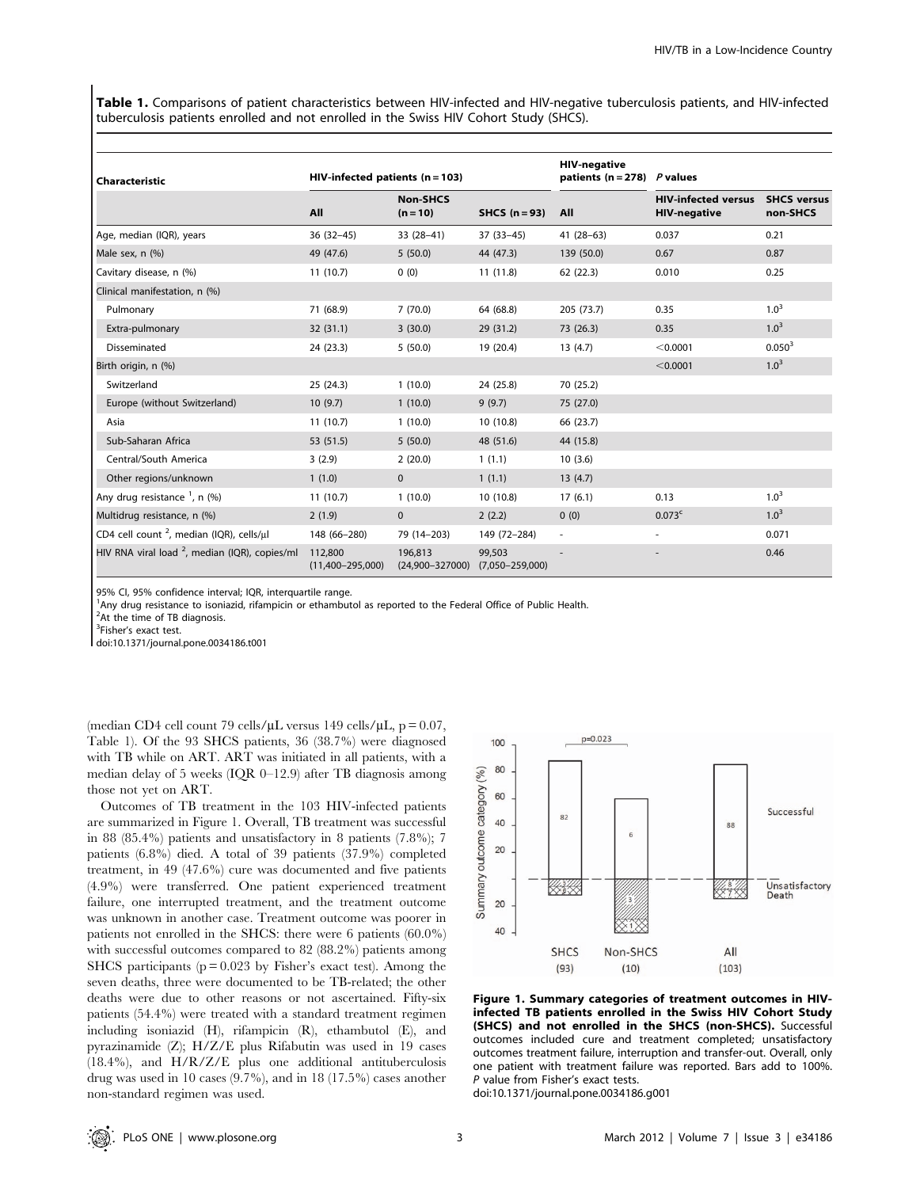Table 1. Comparisons of patient characteristics between HIV-infected and HIV-negative tuberculosis patients, and HIV-infected tuberculosis patients enrolled and not enrolled in the Swiss HIV Cohort Study (SHCS).

| <b>Characteristic</b>                              | $HIV$ -infected patients (n = 103) |                                |                               | <b>HIV-negative</b><br>patients ( $n = 278$ ) P values |                                                   |                                |
|----------------------------------------------------|------------------------------------|--------------------------------|-------------------------------|--------------------------------------------------------|---------------------------------------------------|--------------------------------|
|                                                    | All                                | <b>Non-SHCS</b><br>$(n = 10)$  | SHCS $(n = 93)$               | All                                                    | <b>HIV-infected versus</b><br><b>HIV-negative</b> | <b>SHCS versus</b><br>non-SHCS |
| Age, median (IQR), years                           | $36(32-45)$                        | $33(28-41)$                    | $37(33-45)$                   | $41(28-63)$                                            | 0.037                                             | 0.21                           |
| Male sex, n (%)                                    | 49 (47.6)                          | 5(50.0)                        | 44 (47.3)                     | 139 (50.0)                                             | 0.67                                              | 0.87                           |
| Cavitary disease, n (%)                            | 11(10.7)                           | 0(0)                           | 11 (11.8)                     | 62(22.3)                                               | 0.010                                             | 0.25                           |
| Clinical manifestation, n (%)                      |                                    |                                |                               |                                                        |                                                   |                                |
| Pulmonary                                          | 71 (68.9)                          | 7(70.0)                        | 64 (68.8)                     | 205 (73.7)                                             | 0.35                                              | 1.0 <sup>3</sup>               |
| Extra-pulmonary                                    | 32(31.1)                           | 3(30.0)                        | 29 (31.2)                     | 73(26.3)                                               | 0.35                                              | $1.0^{3}$                      |
| Disseminated                                       | 24 (23.3)                          | 5(50.0)                        | 19 (20.4)                     | 13(4.7)                                                | < 0.0001                                          | 0.050 <sup>3</sup>             |
| Birth origin, n (%)                                |                                    |                                |                               |                                                        | < 0.0001                                          | $1.0^{3}$                      |
| Switzerland                                        | 25(24.3)                           | 1(10.0)                        | 24 (25.8)                     | 70 (25.2)                                              |                                                   |                                |
| Europe (without Switzerland)                       | 10(9.7)                            | 1(10.0)                        | 9(9.7)                        | 75 (27.0)                                              |                                                   |                                |
| Asia                                               | 11(10.7)                           | 1(10.0)                        | 10(10.8)                      | 66 (23.7)                                              |                                                   |                                |
| Sub-Saharan Africa                                 | 53 (51.5)                          | 5(50.0)                        | 48 (51.6)                     | 44 (15.8)                                              |                                                   |                                |
| Central/South America                              | 3(2.9)                             | 2(20.0)                        | 1(1.1)                        | 10(3.6)                                                |                                                   |                                |
| Other regions/unknown                              | 1(1.0)                             | $\mathbf{0}$                   | 1(1.1)                        | 13(4.7)                                                |                                                   |                                |
| Any drug resistance $^1$ , n (%)                   | 11(10.7)                           | 1(10.0)                        | 10(10.8)                      | 17(6.1)                                                | 0.13                                              | $1.0^{3}$                      |
| Multidrug resistance, n (%)                        | 2(1.9)                             | $\Omega$                       | 2(2.2)                        | 0(0)                                                   | 0.073 <sup>c</sup>                                | $1.0^{3}$                      |
| CD4 cell count $^2$ , median (IQR), cells/ $\mu$ l | 148 (66-280)                       | 79 (14-203)                    | 149 (72-284)                  | $\sim$                                                 | $\overline{\phantom{a}}$                          | 0.071                          |
| HIV RNA viral load $^2$ , median (IQR), copies/ml  | 112,800<br>$(11,400 - 295,000)$    | 196,813<br>$(24,900 - 327000)$ | 99,503<br>$(7,050 - 259,000)$ |                                                        |                                                   | 0.46                           |

95% CI, 95% confidence interval; IQR, interquartile range.

<sup>1</sup>Any drug resistance to isoniazid, rifampicin or ethambutol as reported to the Federal Office of Public Health.

<sup>2</sup>At the time of TB diagnosis.

<sup>3</sup>Fisher's exact test.

doi:10.1371/journal.pone.0034186.t001

(median CD4 cell count 79 cells/ $\mu$ L versus 149 cells/ $\mu$ L, p = 0.07, Table 1). Of the 93 SHCS patients, 36 (38.7%) were diagnosed with TB while on ART. ART was initiated in all patients, with a median delay of 5 weeks (IQR 0–12.9) after TB diagnosis among those not yet on ART.

Outcomes of TB treatment in the 103 HIV-infected patients are summarized in Figure 1. Overall, TB treatment was successful in 88 (85.4%) patients and unsatisfactory in 8 patients (7.8%); 7 patients (6.8%) died. A total of 39 patients (37.9%) completed treatment, in 49 (47.6%) cure was documented and five patients (4.9%) were transferred. One patient experienced treatment failure, one interrupted treatment, and the treatment outcome was unknown in another case. Treatment outcome was poorer in patients not enrolled in the SHCS: there were 6 patients (60.0%) with successful outcomes compared to 82 (88.2%) patients among SHCS participants ( $p = 0.023$  by Fisher's exact test). Among the seven deaths, three were documented to be TB-related; the other deaths were due to other reasons or not ascertained. Fifty-six patients (54.4%) were treated with a standard treatment regimen including isoniazid (H), rifampicin (R), ethambutol (E), and pyrazinamide (Z); H/Z/E plus Rifabutin was used in 19 cases (18.4%), and H/R/Z/E plus one additional antituberculosis drug was used in 10 cases (9.7%), and in 18 (17.5%) cases another non-standard regimen was used.



Figure 1. Summary categories of treatment outcomes in HIVinfected TB patients enrolled in the Swiss HIV Cohort Study (SHCS) and not enrolled in the SHCS (non-SHCS). Successful outcomes included cure and treatment completed; unsatisfactory outcomes treatment failure, interruption and transfer-out. Overall, only one patient with treatment failure was reported. Bars add to 100%. P value from Fisher's exact tests.

doi:10.1371/journal.pone.0034186.g001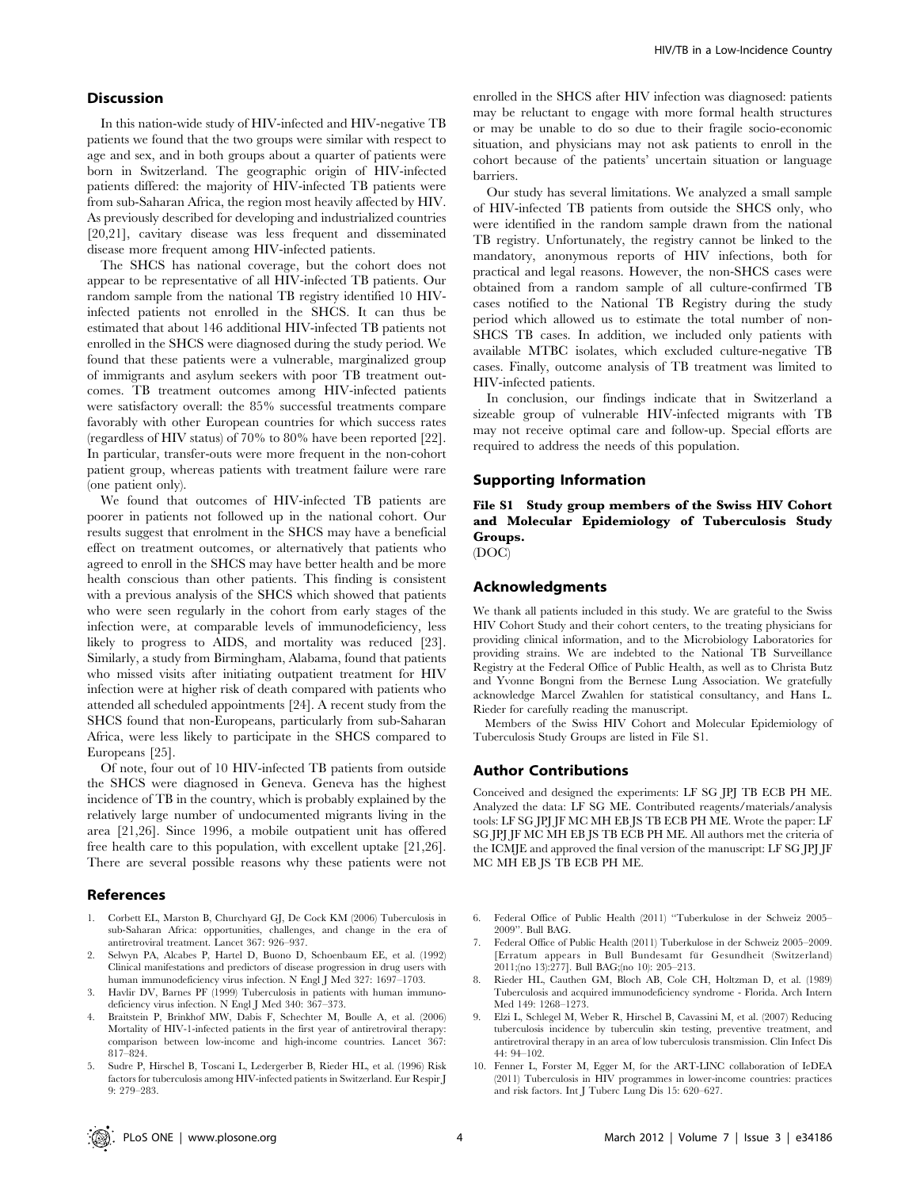## Discussion

In this nation-wide study of HIV-infected and HIV-negative TB patients we found that the two groups were similar with respect to age and sex, and in both groups about a quarter of patients were born in Switzerland. The geographic origin of HIV-infected patients differed: the majority of HIV-infected TB patients were from sub-Saharan Africa, the region most heavily affected by HIV. As previously described for developing and industrialized countries [20,21], cavitary disease was less frequent and disseminated disease more frequent among HIV-infected patients.

The SHCS has national coverage, but the cohort does not appear to be representative of all HIV-infected TB patients. Our random sample from the national TB registry identified 10 HIVinfected patients not enrolled in the SHCS. It can thus be estimated that about 146 additional HIV-infected TB patients not enrolled in the SHCS were diagnosed during the study period. We found that these patients were a vulnerable, marginalized group of immigrants and asylum seekers with poor TB treatment outcomes. TB treatment outcomes among HIV-infected patients were satisfactory overall: the 85% successful treatments compare favorably with other European countries for which success rates (regardless of HIV status) of 70% to 80% have been reported [22]. In particular, transfer-outs were more frequent in the non-cohort patient group, whereas patients with treatment failure were rare (one patient only).

We found that outcomes of HIV-infected TB patients are poorer in patients not followed up in the national cohort. Our results suggest that enrolment in the SHCS may have a beneficial effect on treatment outcomes, or alternatively that patients who agreed to enroll in the SHCS may have better health and be more health conscious than other patients. This finding is consistent with a previous analysis of the SHCS which showed that patients who were seen regularly in the cohort from early stages of the infection were, at comparable levels of immunodeficiency, less likely to progress to AIDS, and mortality was reduced [23]. Similarly, a study from Birmingham, Alabama, found that patients who missed visits after initiating outpatient treatment for HIV infection were at higher risk of death compared with patients who attended all scheduled appointments [24]. A recent study from the SHCS found that non-Europeans, particularly from sub-Saharan Africa, were less likely to participate in the SHCS compared to Europeans [25].

Of note, four out of 10 HIV-infected TB patients from outside the SHCS were diagnosed in Geneva. Geneva has the highest incidence of TB in the country, which is probably explained by the relatively large number of undocumented migrants living in the area [21,26]. Since 1996, a mobile outpatient unit has offered free health care to this population, with excellent uptake [21,26]. There are several possible reasons why these patients were not

#### References

- 1. Corbett EL, Marston B, Churchyard GJ, De Cock KM (2006) Tuberculosis in sub-Saharan Africa: opportunities, challenges, and change in the era of antiretroviral treatment. Lancet 367: 926–937.
- 2. Selwyn PA, Alcabes P, Hartel D, Buono D, Schoenbaum EE, et al. (1992) Clinical manifestations and predictors of disease progression in drug users with human immunodeficiency virus infection. N Engl J Med 327: 1697–1703.
- 3. Havlir DV, Barnes PF (1999) Tuberculosis in patients with human immunodeficiency virus infection. N Engl J Med 340: 367–373.
- 4. Braitstein P, Brinkhof MW, Dabis F, Schechter M, Boulle A, et al. (2006) Mortality of HIV-1-infected patients in the first year of antiretroviral therapy: comparison between low-income and high-income countries. Lancet 367: 817–824.
- 5. Sudre P, Hirschel B, Toscani L, Ledergerber B, Rieder HL, et al. (1996) Risk factors for tuberculosis among HIV-infected patients in Switzerland. Eur Respir J 9: 279–283.

enrolled in the SHCS after HIV infection was diagnosed: patients may be reluctant to engage with more formal health structures or may be unable to do so due to their fragile socio-economic situation, and physicians may not ask patients to enroll in the cohort because of the patients' uncertain situation or language barriers.

Our study has several limitations. We analyzed a small sample of HIV-infected TB patients from outside the SHCS only, who were identified in the random sample drawn from the national TB registry. Unfortunately, the registry cannot be linked to the mandatory, anonymous reports of HIV infections, both for practical and legal reasons. However, the non-SHCS cases were obtained from a random sample of all culture-confirmed TB cases notified to the National TB Registry during the study period which allowed us to estimate the total number of non-SHCS TB cases. In addition, we included only patients with available MTBC isolates, which excluded culture-negative TB cases. Finally, outcome analysis of TB treatment was limited to HIV-infected patients.

In conclusion, our findings indicate that in Switzerland a sizeable group of vulnerable HIV-infected migrants with TB may not receive optimal care and follow-up. Special efforts are required to address the needs of this population.

#### Supporting Information

File S1 Study group members of the Swiss HIV Cohort and Molecular Epidemiology of Tuberculosis Study Groups.

## (DOC)

## Acknowledgments

We thank all patients included in this study. We are grateful to the Swiss HIV Cohort Study and their cohort centers, to the treating physicians for providing clinical information, and to the Microbiology Laboratories for providing strains. We are indebted to the National TB Surveillance Registry at the Federal Office of Public Health, as well as to Christa Butz and Yvonne Bongni from the Bernese Lung Association. We gratefully acknowledge Marcel Zwahlen for statistical consultancy, and Hans L. Rieder for carefully reading the manuscript.

Members of the Swiss HIV Cohort and Molecular Epidemiology of Tuberculosis Study Groups are listed in File S1.

#### Author Contributions

Conceived and designed the experiments: LF SG JPJ TB ECB PH ME. Analyzed the data: LF SG ME. Contributed reagents/materials/analysis tools: LF SG JPJ JF MC MH EB JS TB ECB PH ME. Wrote the paper: LF SG JPJ JF MC MH EB JS TB ECB PH ME. All authors met the criteria of the ICMJE and approved the final version of the manuscript: LF SG JPJ JF MC MH EB JS TB ECB PH ME.

- 6. Federal Office of Public Health (2011) ''Tuberkulose in der Schweiz 2005– 2009''. Bull BAG.
- 7. Federal Office of Public Health (2011) Tuberkulose in der Schweiz 2005–2009. [Erratum appears in Bull Bundesamt für Gesundheit (Switzerland) 2011;(no 13):277]. Bull BAG;(no 10): 205–213.
- 8. Rieder HL, Cauthen GM, Bloch AB, Cole CH, Holtzman D, et al. (1989) Tuberculosis and acquired immunodeficiency syndrome - Florida. Arch Intern Med 149: 1268–1273.
- 9. Elzi L, Schlegel M, Weber R, Hirschel B, Cavassini M, et al. (2007) Reducing tuberculosis incidence by tuberculin skin testing, preventive treatment, and antiretroviral therapy in an area of low tuberculosis transmission. Clin Infect Dis 44: 94–102.
- 10. Fenner L, Forster M, Egger M, for the ART-LINC collaboration of IeDEA (2011) Tuberculosis in HIV programmes in lower-income countries: practices and risk factors. Int J Tuberc Lung Dis 15: 620–627.